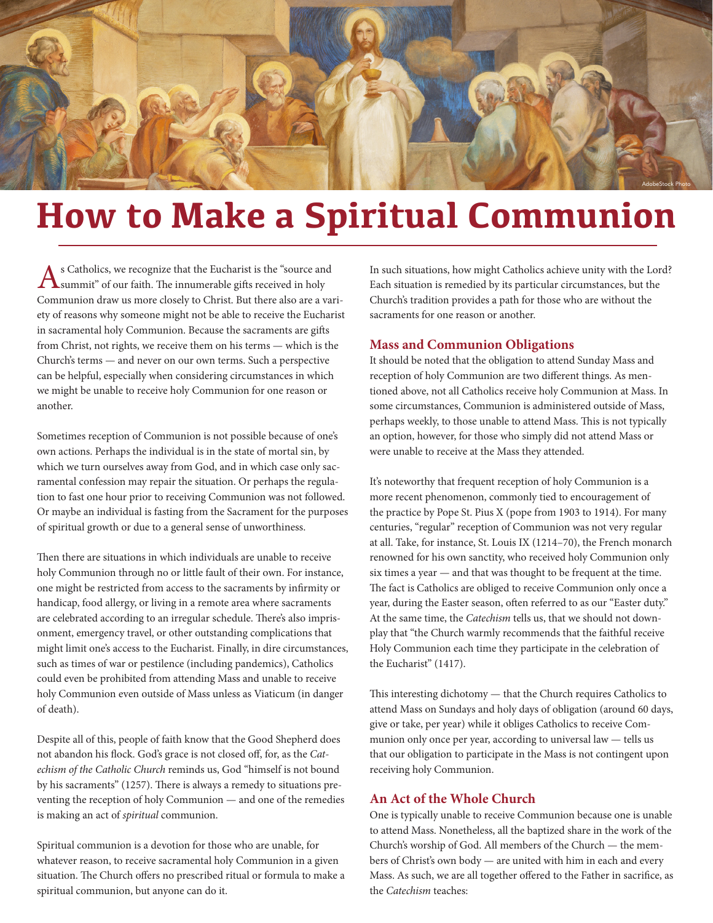

# **How to Make a Spiritual Communion**

As Catholics, we recognize that the Eucharist is the "source and summit" of our faith. The innumerable gifts received in holy Communion draw us more closely to Christ. But there also are a variety of reasons why someone might not be able to receive the Eucharist in sacramental holy Communion. Because the sacraments are gifts from Christ, not rights, we receive them on his terms — which is the Church's terms — and never on our own terms. Such a perspective can be helpful, especially when considering circumstances in which we might be unable to receive holy Communion for one reason or another.

Sometimes reception of Communion is not possible because of one's own actions. Perhaps the individual is in the state of mortal sin, by which we turn ourselves away from God, and in which case only sacramental confession may repair the situation. Or perhaps the regulation to fast one hour prior to receiving Communion was not followed. Or maybe an individual is fasting from the Sacrament for the purposes of spiritual growth or due to a general sense of unworthiness.

Then there are situations in which individuals are unable to receive holy Communion through no or little fault of their own. For instance, one might be restricted from access to the sacraments by infirmity or handicap, food allergy, or living in a remote area where sacraments are celebrated according to an irregular schedule. There's also imprisonment, emergency travel, or other outstanding complications that might limit one's access to the Eucharist. Finally, in dire circumstances, such as times of war or pestilence (including pandemics), Catholics could even be prohibited from attending Mass and unable to receive holy Communion even outside of Mass unless as Viaticum (in danger of death).

Despite all of this, people of faith know that the Good Shepherd does not abandon his flock. God's grace is not closed off, for, as the *Catechism of the Catholic Church* reminds us, God "himself is not bound by his sacraments" (1257). There is always a remedy to situations preventing the reception of holy Communion — and one of the remedies is making an act of *spiritual* communion.

Spiritual communion is a devotion for those who are unable, for whatever reason, to receive sacramental holy Communion in a given situation. The Church offers no prescribed ritual or formula to make a spiritual communion, but anyone can do it.

In such situations, how might Catholics achieve unity with the Lord? Each situation is remedied by its particular circumstances, but the Church's tradition provides a path for those who are without the sacraments for one reason or another.

### **Mass and Communion Obligations**

It should be noted that the obligation to attend Sunday Mass and reception of holy Communion are two different things. As mentioned above, not all Catholics receive holy Communion at Mass. In some circumstances, Communion is administered outside of Mass, perhaps weekly, to those unable to attend Mass. This is not typically an option, however, for those who simply did not attend Mass or were unable to receive at the Mass they attended.

It's noteworthy that frequent reception of holy Communion is a more recent phenomenon, commonly tied to encouragement of the practice by Pope St. Pius X (pope from 1903 to 1914). For many centuries, "regular" reception of Communion was not very regular at all. Take, for instance, St. Louis IX (1214–70), the French monarch renowned for his own sanctity, who received holy Communion only six times a year — and that was thought to be frequent at the time. The fact is Catholics are obliged to receive Communion only once a year, during the Easter season, often referred to as our "Easter duty." At the same time, the *Catechism* tells us, that we should not downplay that "the Church warmly recommends that the faithful receive Holy Communion each time they participate in the celebration of the Eucharist" (1417).

This interesting dichotomy — that the Church requires Catholics to attend Mass on Sundays and holy days of obligation (around 60 days, give or take, per year) while it obliges Catholics to receive Communion only once per year, according to universal law — tells us that our obligation to participate in the Mass is not contingent upon receiving holy Communion.

## **An Act of the Whole Church**

One is typically unable to receive Communion because one is unable to attend Mass. Nonetheless, all the baptized share in the work of the Church's worship of God. All members of the Church — the members of Christ's own body — are united with him in each and every Mass. As such, we are all together offered to the Father in sacrifice, as the *Catechism* teaches: